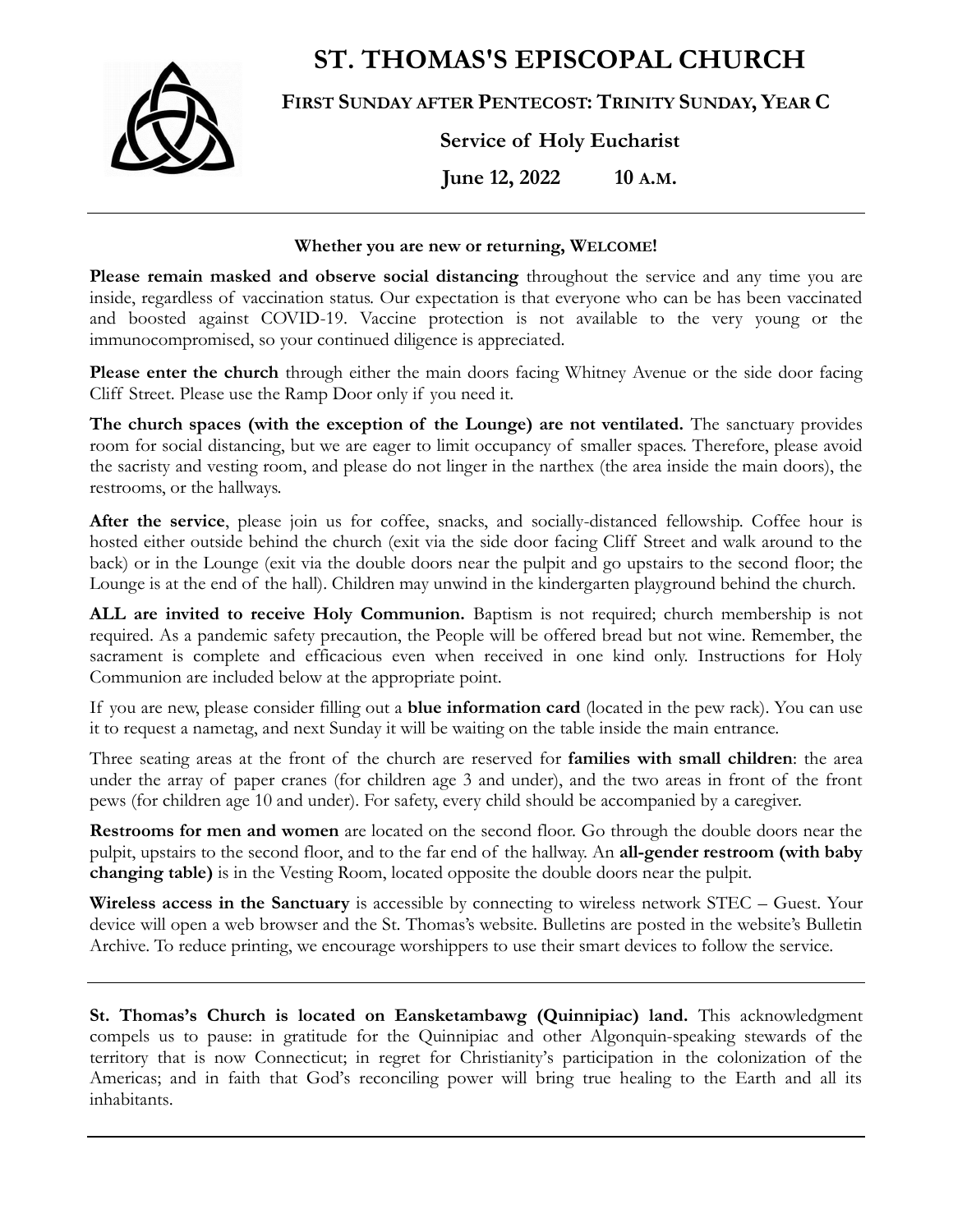**ST. THOMAS'S EPISCOPAL CHURCH**



**FIRST SUNDAY AFTER PENTECOST: TRINITY SUNDAY, YEAR C**

**Service of Holy Eucharist**

**June 12, 2022 10 A.M.**

### **Whether you are new or returning, WELCOME!**

**Please remain masked and observe social distancing** throughout the service and any time you are inside, regardless of vaccination status. Our expectation is that everyone who can be has been vaccinated and boosted against COVID-19. Vaccine protection is not available to the very young or the immunocompromised, so your continued diligence is appreciated.

**Please enter the church** through either the main doors facing Whitney Avenue or the side door facing Cliff Street. Please use the Ramp Door only if you need it.

**The church spaces (with the exception of the Lounge) are not ventilated.** The sanctuary provides room for social distancing, but we are eager to limit occupancy of smaller spaces. Therefore, please avoid the sacristy and vesting room, and please do not linger in the narthex (the area inside the main doors), the restrooms, or the hallways.

**After the service**, please join us for coffee, snacks, and socially-distanced fellowship. Coffee hour is hosted either outside behind the church (exit via the side door facing Cliff Street and walk around to the back) or in the Lounge (exit via the double doors near the pulpit and go upstairs to the second floor; the Lounge is at the end of the hall). Children may unwind in the kindergarten playground behind the church.

**ALL are invited to receive Holy Communion.** Baptism is not required; church membership is not required. As a pandemic safety precaution, the People will be offered bread but not wine. Remember, the sacrament is complete and efficacious even when received in one kind only. Instructions for Holy Communion are included below at the appropriate point.

If you are new, please consider filling out a **blue information card** (located in the pew rack). You can use it to request a nametag, and next Sunday it will be waiting on the table inside the main entrance.

Three seating areas at the front of the church are reserved for **families with small children**: the area under the array of paper cranes (for children age 3 and under), and the two areas in front of the front pews (for children age 10 and under). For safety, every child should be accompanied by a caregiver.

**Restrooms for men and women** are located on the second floor. Go through the double doors near the pulpit, upstairs to the second floor, and to the far end of the hallway. An **all-gender restroom (with baby changing table)** is in the Vesting Room, located opposite the double doors near the pulpit.

**Wireless access in the Sanctuary** is accessible by connecting to wireless network STEC – Guest. Your device will open a web browser and the St. Thomas's website. Bulletins are posted in the website's Bulletin Archive. To reduce printing, we encourage worshippers to use their smart devices to follow the service.

**St. Thomas's Church is located on Eansketambawg (Quinnipiac) land.** This acknowledgment compels us to pause: in gratitude for the Quinnipiac and other Algonquin-speaking stewards of the territory that is now Connecticut; in regret for Christianity's participation in the colonization of the Americas; and in faith that God's reconciling power will bring true healing to the Earth and all its inhabitants.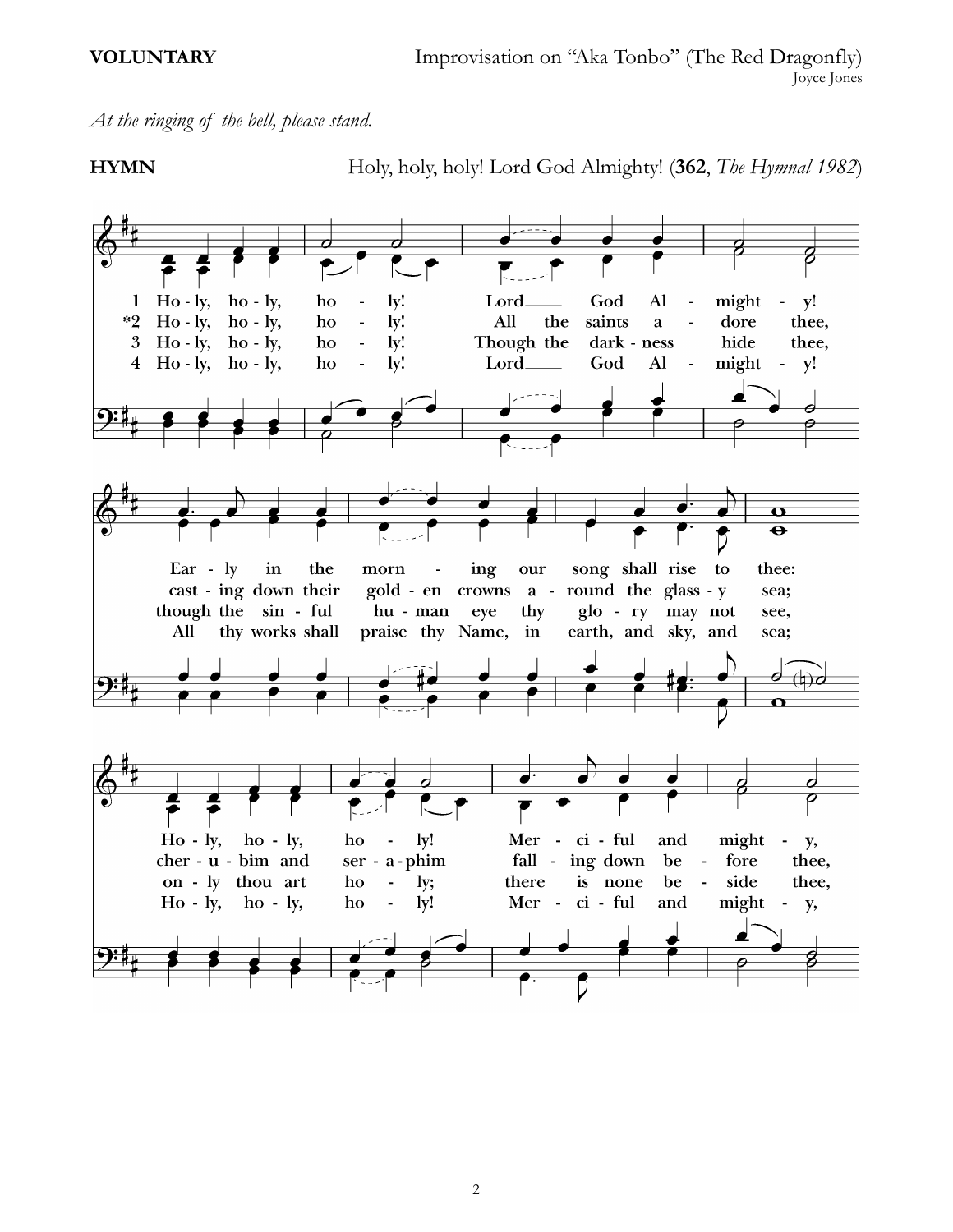# *At the ringing of the bell, please stand.*

**HYMN** Holy, holy, holy! Lord God Almighty! (**362**, *The Hymnal 1982*)

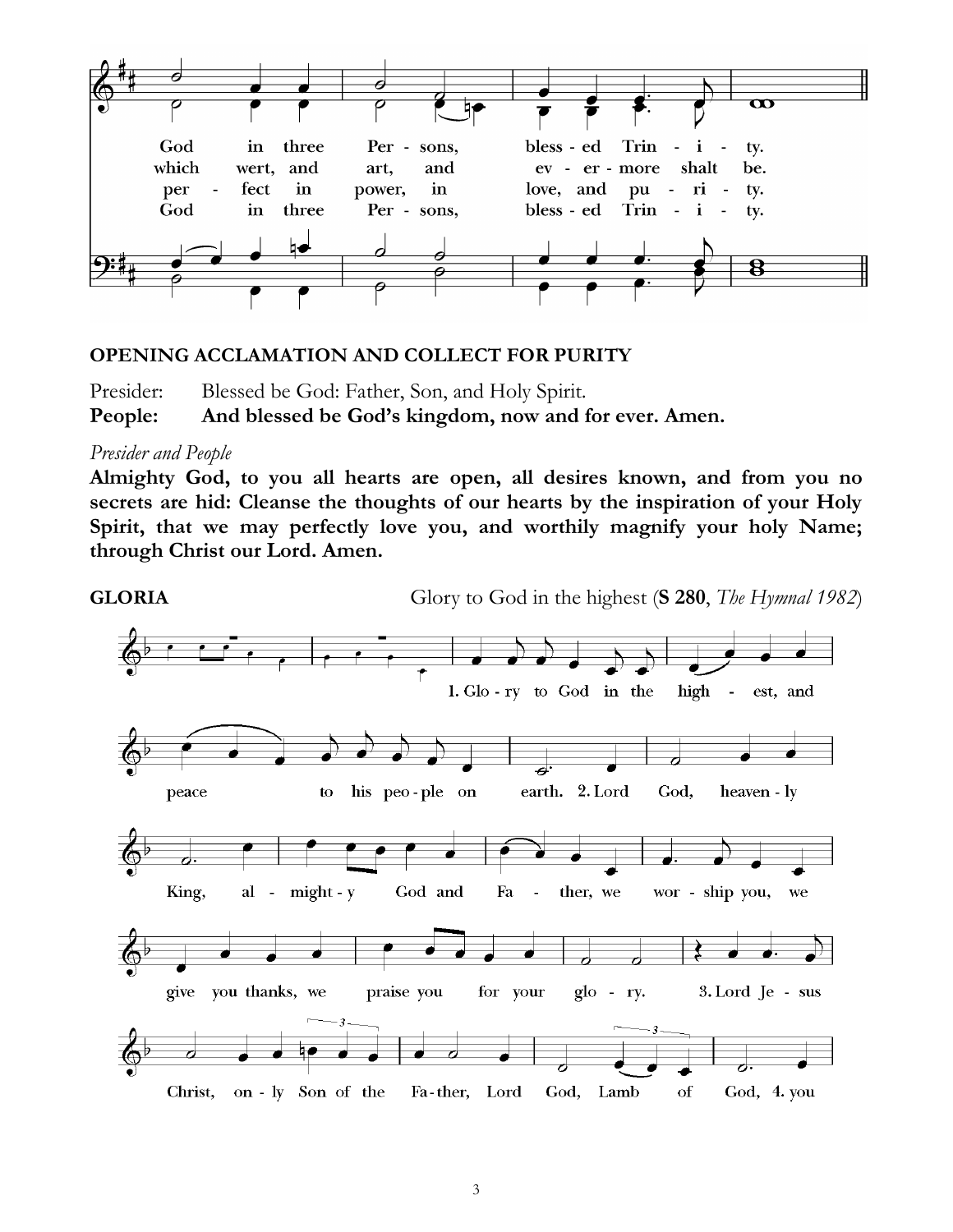

# **OPENING ACCLAMATION AND COLLECT FOR PURITY**

Presider: Blessed be God: Father, Son, and Holy Spirit. **People: And blessed be God's kingdom, now and for ever. Amen.**

## *Presider and People*

**Almighty God, to you all hearts are open, all desires known, and from you no secrets are hid: Cleanse the thoughts of our hearts by the inspiration of your Holy Spirit, that we may perfectly love you, and worthily magnify your holy Name; through Christ our Lord. Amen.**

**GLORIA** Glory to God in the highest (**S 280**, *The Hymnal 1982*)

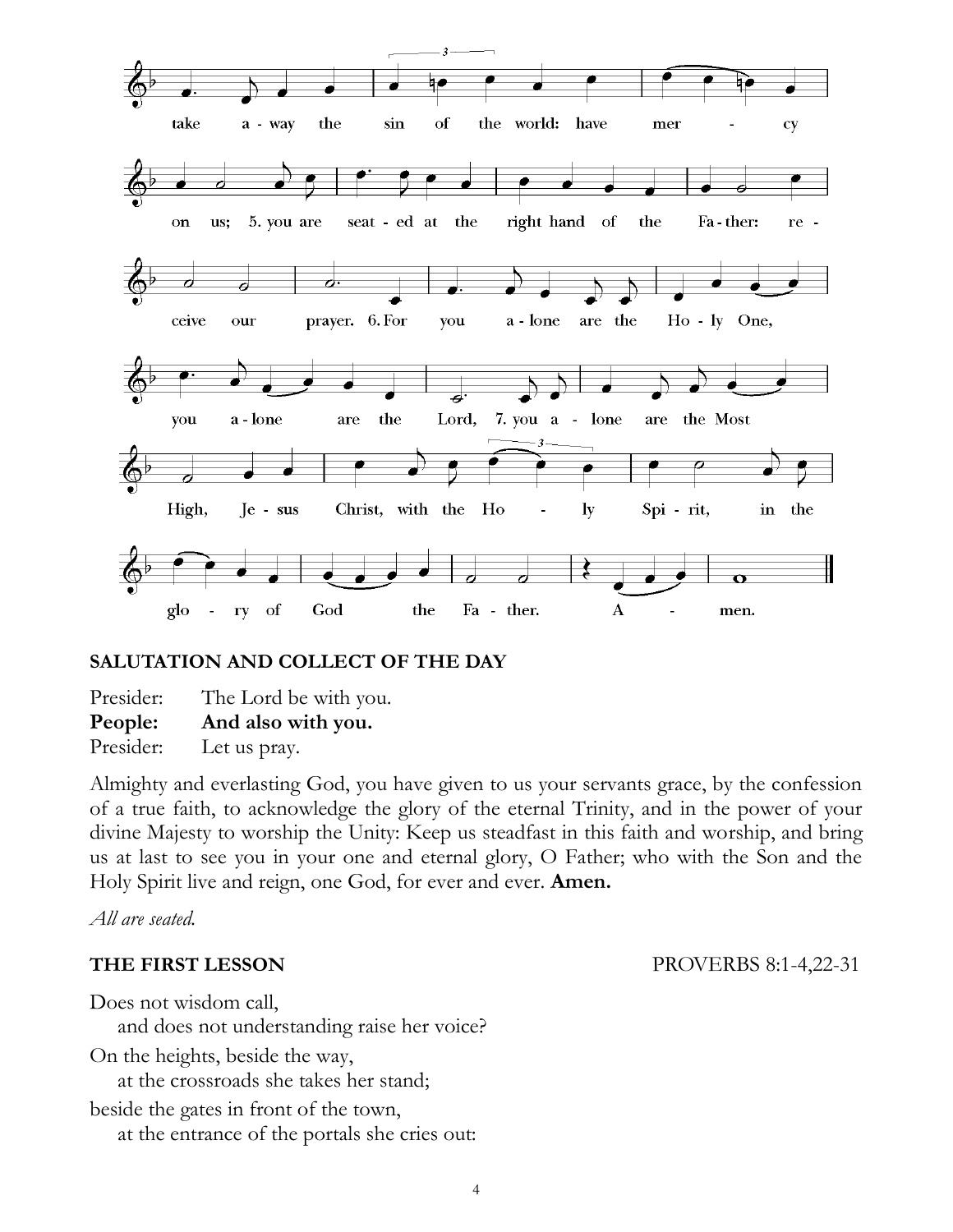

# **SALUTATION AND COLLECT OF THE DAY**

Presider: The Lord be with you. **People: And also with you.** Presider: Let us pray.

Almighty and everlasting God, you have given to us your servants grace, by the confession of a true faith, to acknowledge the glory of the eternal Trinity, and in the power of your divine Majesty to worship the Unity: Keep us steadfast in this faith and worship, and bring us at last to see you in your one and eternal glory, O Father; who with the Son and the Holy Spirit live and reign, one God, for ever and ever. **Amen.**

*All are seated.*

**THE FIRST LESSON** PROVERBS 8:1-4,22-31

Does not wisdom call,

and does not understanding raise her voice?

On the heights, beside the way, at the crossroads she takes her stand;

beside the gates in front of the town, at the entrance of the portals she cries out: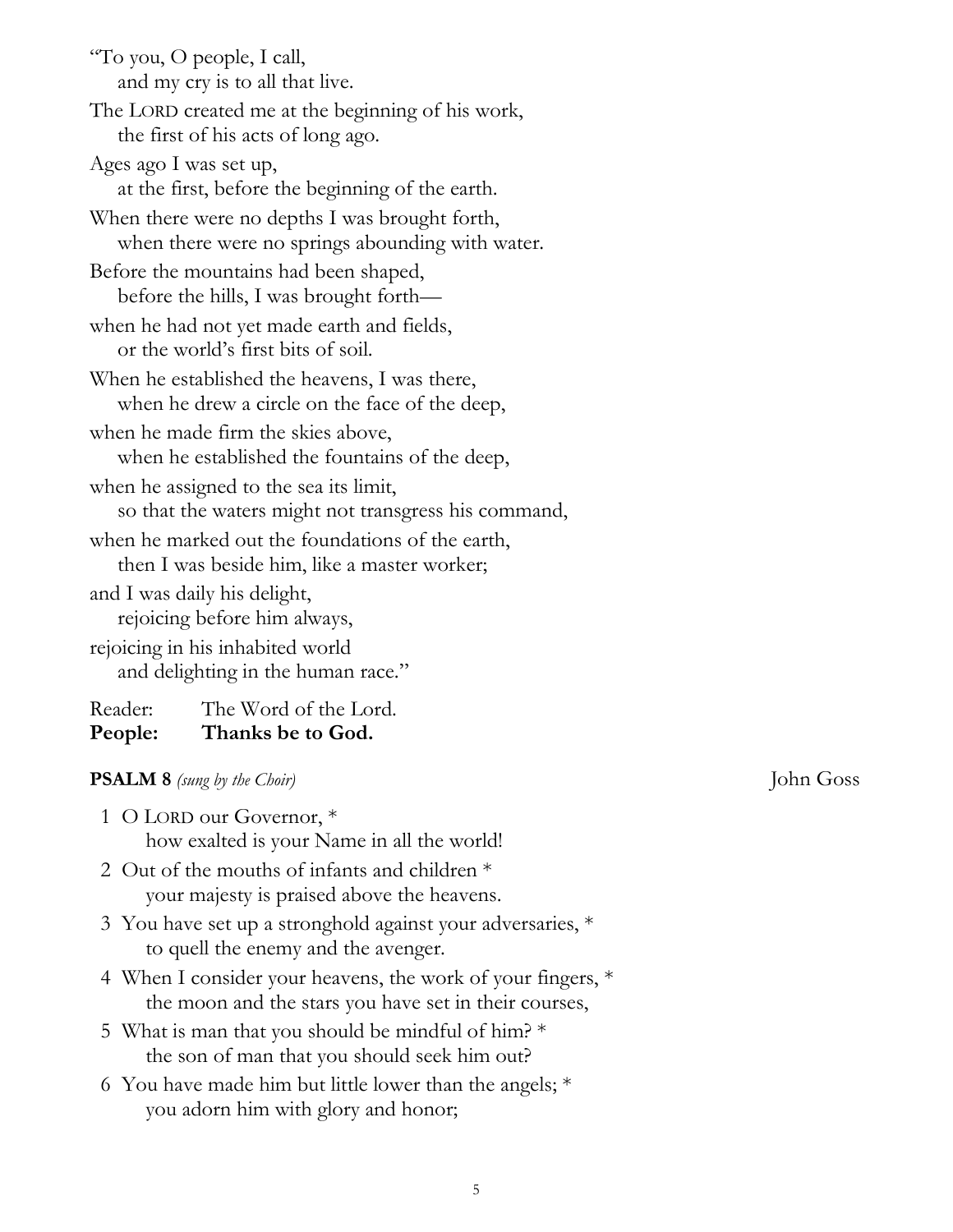| "To you, O people, I call,<br>and my cry is to all that live. |                                                  |  |  |
|---------------------------------------------------------------|--------------------------------------------------|--|--|
|                                                               |                                                  |  |  |
| The LORD created me at the beginning of his work,             |                                                  |  |  |
|                                                               | the first of his acts of long ago.               |  |  |
| Ages ago I was set up,                                        |                                                  |  |  |
|                                                               | at the first, before the beginning of the earth. |  |  |
|                                                               | When there were no depths I was brought forth,   |  |  |
|                                                               | when there were no springs abounding with water. |  |  |
| Before the mountains had been shaped,                         |                                                  |  |  |
|                                                               | before the hills, I was brought forth—           |  |  |
| when he had not yet made earth and fields,                    |                                                  |  |  |
|                                                               | or the world's first bits of soil.               |  |  |
| When he established the heavens, I was there,                 |                                                  |  |  |
|                                                               | when he drew a circle on the face of the deep,   |  |  |
|                                                               | when he made firm the skies above,               |  |  |
|                                                               | when he established the fountains of the deep,   |  |  |
|                                                               | when he assigned to the sea its limit,           |  |  |
| so that the waters might not transgress his command,          |                                                  |  |  |
| when he marked out the foundations of the earth,              |                                                  |  |  |
| then I was beside him, like a master worker;                  |                                                  |  |  |
| and I was daily his delight,                                  |                                                  |  |  |
| rejoicing before him always,                                  |                                                  |  |  |
| rejoicing in his inhabited world                              |                                                  |  |  |
| and delighting in the human race."                            |                                                  |  |  |
| Reader:                                                       | The Word of the Lord.                            |  |  |
| People:                                                       | Thanks be to God.                                |  |  |

# **PSALM 8** *(sung by the Choir)* John Goss

| 1 O LORD our Governor, *                   |  |  |
|--------------------------------------------|--|--|
| how exalted is your Name in all the world! |  |  |

- 2 Out of the mouths of infants and children \* your majesty is praised above the heavens.
- 3 You have set up a stronghold against your adversaries, \* to quell the enemy and the avenger.
- 4 When I consider your heavens, the work of your fingers, \* the moon and the stars you have set in their courses,
- 5 What is man that you should be mindful of him? \* the son of man that you should seek him out?
- 6 You have made him but little lower than the angels; \* you adorn him with glory and honor;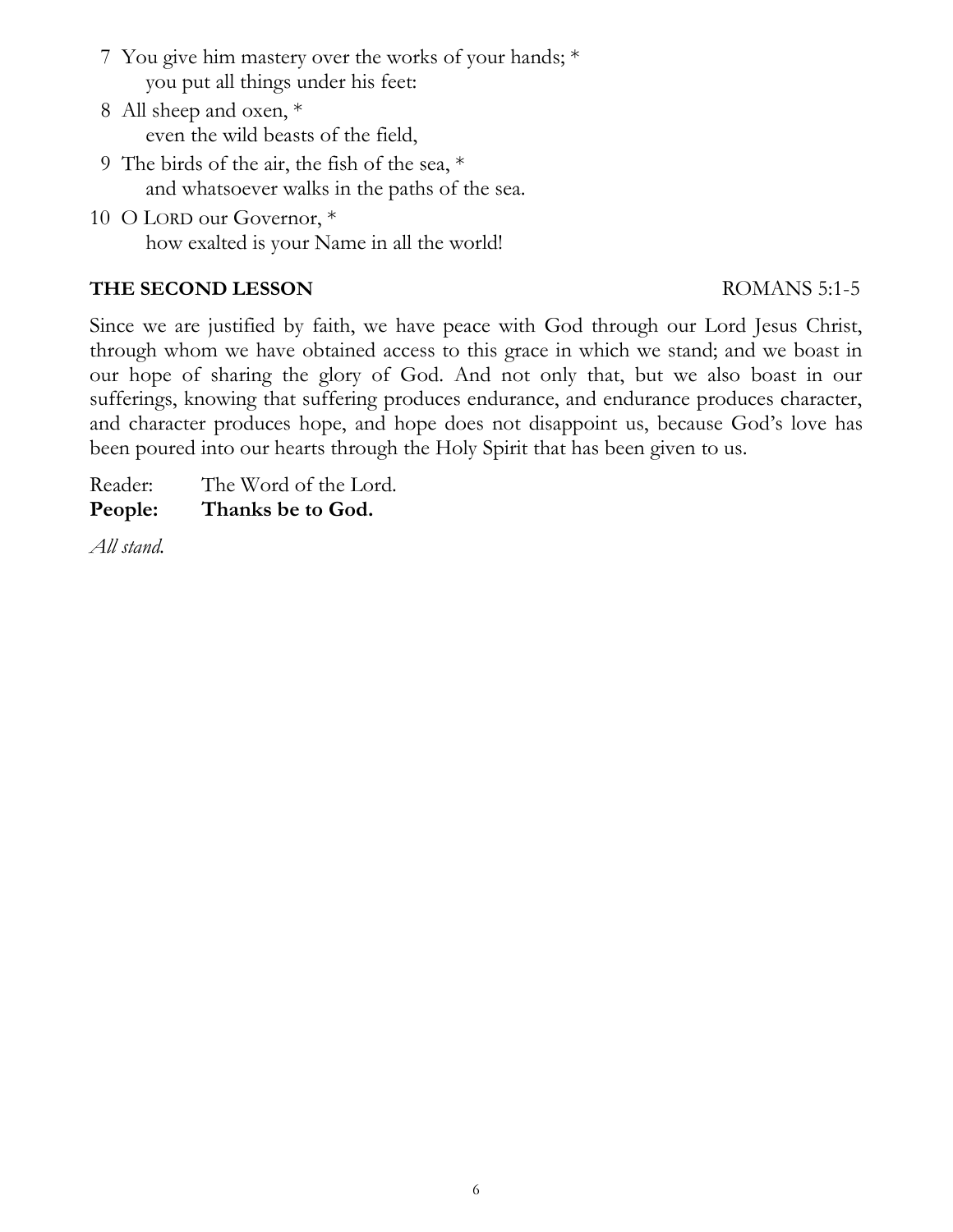- 7 You give him mastery over the works of your hands; \* you put all things under his feet:
- 8 All sheep and oxen, \* even the wild beasts of the field,
- 9 The birds of the air, the fish of the sea, \* and whatsoever walks in the paths of the sea.
- 10 O LORD our Governor, \* how exalted is your Name in all the world!

# **THE SECOND LESSON** ROMANS 5:1-5

Since we are justified by faith, we have peace with God through our Lord Jesus Christ, through whom we have obtained access to this grace in which we stand; and we boast in our hope of sharing the glory of God. And not only that, but we also boast in our sufferings, knowing that suffering produces endurance, and endurance produces character, and character produces hope, and hope does not disappoint us, because God's love has been poured into our hearts through the Holy Spirit that has been given to us.

Reader: The Word of the Lord. **People: Thanks be to God.**

*All stand.*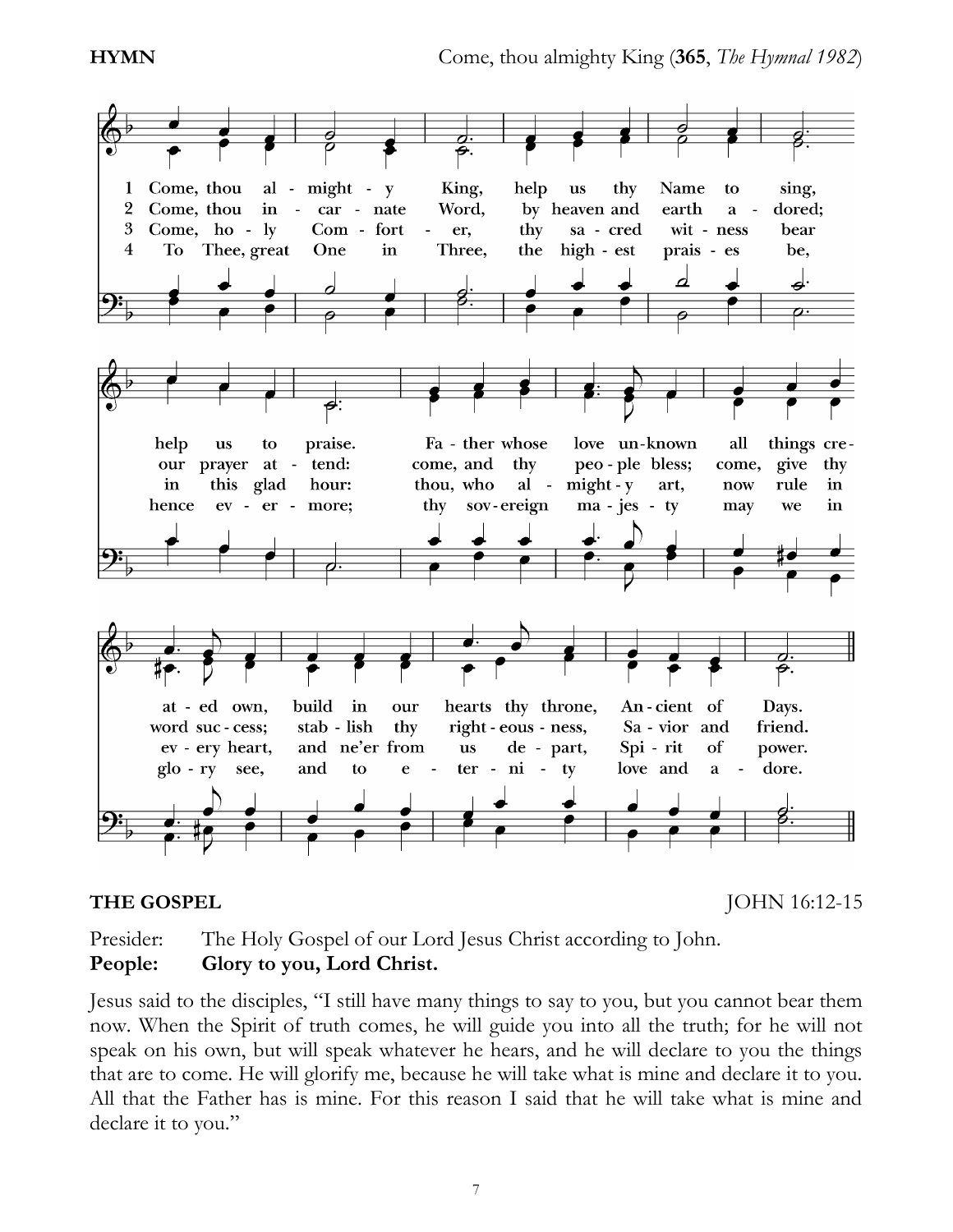

**THE GOSPEL JOHN 16:12-15** 

Presider: The Holy Gospel of our Lord Jesus Christ according to John. **People: Glory to you, Lord Christ.**

Jesus said to the disciples, "I still have many things to say to you, but you cannot bear them now. When the Spirit of truth comes, he will guide you into all the truth; for he will not speak on his own, but will speak whatever he hears, and he will declare to you the things that are to come. He will glorify me, because he will take what is mine and declare it to you. All that the Father has is mine. For this reason I said that he will take what is mine and declare it to you."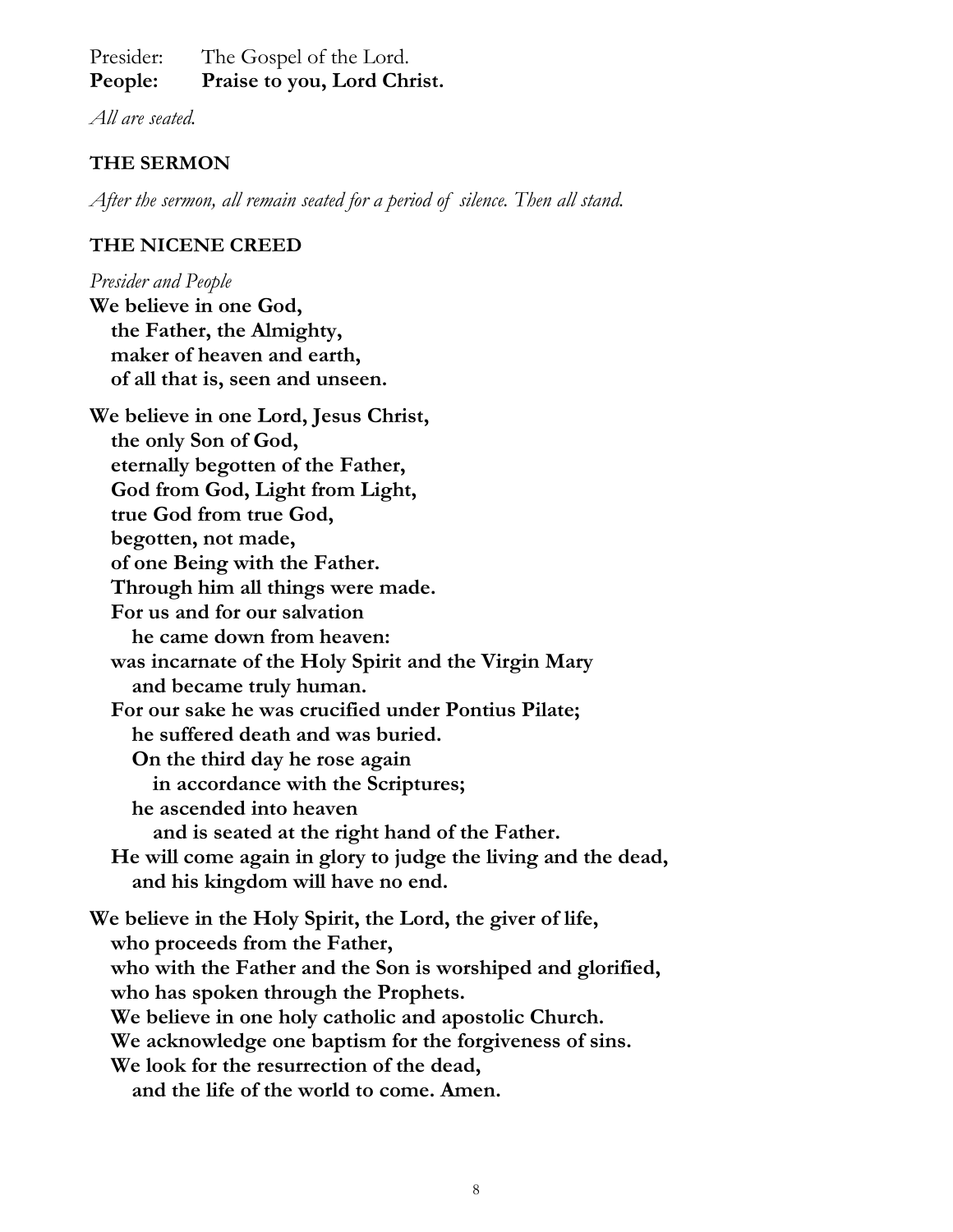Presider: The Gospel of the Lord. **People: Praise to you, Lord Christ.**

*All are seated.*

# **THE SERMON**

*After the sermon, all remain seated for a period of silence. Then all stand.*

# **THE NICENE CREED**

*Presider and People* **We believe in one God, the Father, the Almighty, maker of heaven and earth, of all that is, seen and unseen. We believe in one Lord, Jesus Christ, the only Son of God, eternally begotten of the Father, God from God, Light from Light, true God from true God, begotten, not made, of one Being with the Father. Through him all things were made. For us and for our salvation he came down from heaven: was incarnate of the Holy Spirit and the Virgin Mary and became truly human. For our sake he was crucified under Pontius Pilate; he suffered death and was buried. On the third day he rose again in accordance with the Scriptures; he ascended into heaven and is seated at the right hand of the Father. He will come again in glory to judge the living and the dead, and his kingdom will have no end. We believe in the Holy Spirit, the Lord, the giver of life, who proceeds from the Father, who with the Father and the Son is worshiped and glorified, who has spoken through the Prophets. We believe in one holy catholic and apostolic Church. We acknowledge one baptism for the forgiveness of sins. We look for the resurrection of the dead, and the life of the world to come. Amen.**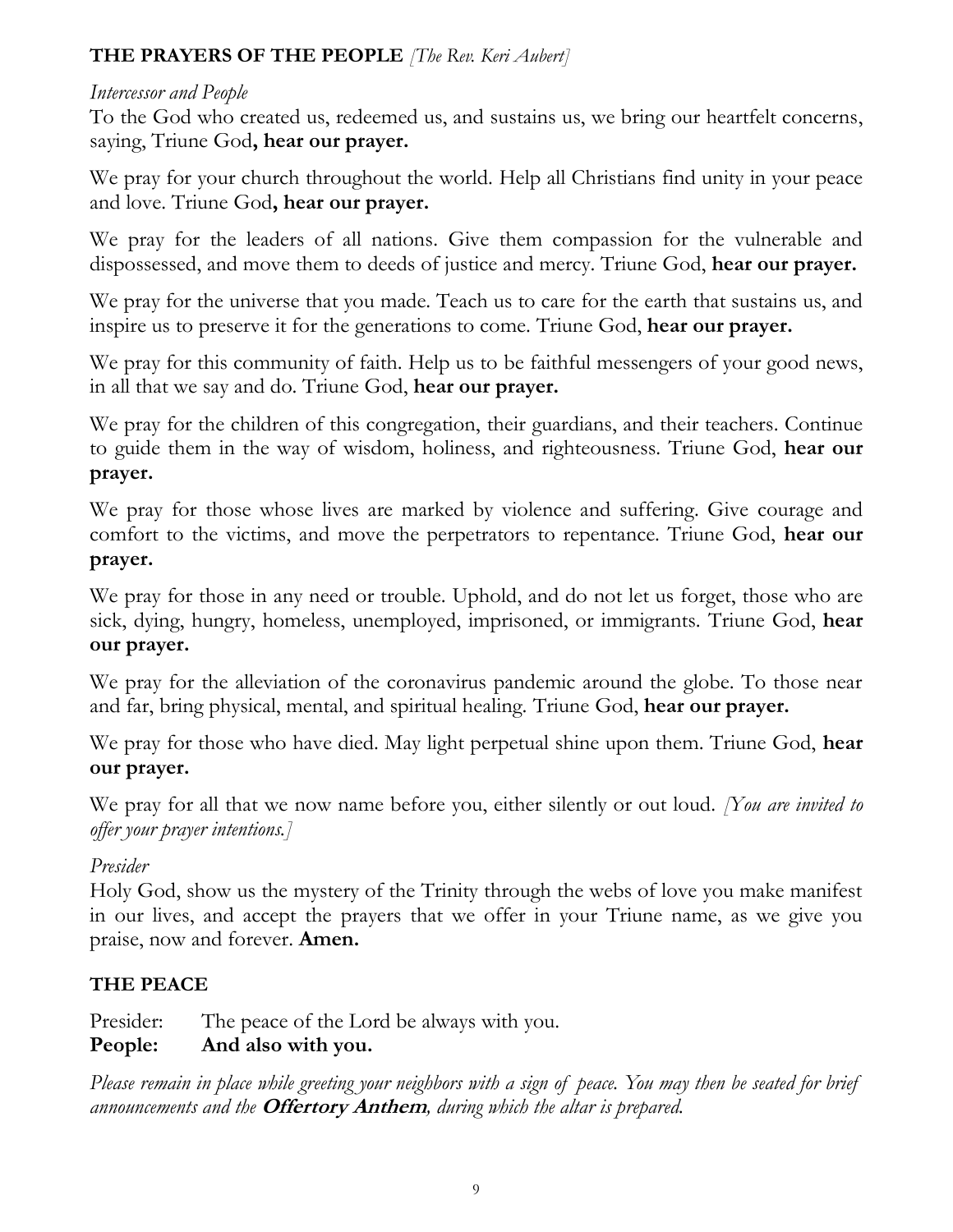# **THE PRAYERS OF THE PEOPLE** *[The Rev. Keri Aubert]*

# *Intercessor and People*

To the God who created us, redeemed us, and sustains us, we bring our heartfelt concerns, saying, Triune God**, hear our prayer.**

We pray for your church throughout the world. Help all Christians find unity in your peace and love. Triune God**, hear our prayer.**

We pray for the leaders of all nations. Give them compassion for the vulnerable and dispossessed, and move them to deeds of justice and mercy. Triune God, **hear our prayer.**

We pray for the universe that you made. Teach us to care for the earth that sustains us, and inspire us to preserve it for the generations to come. Triune God, **hear our prayer.**

We pray for this community of faith. Help us to be faithful messengers of your good news, in all that we say and do. Triune God, **hear our prayer.**

We pray for the children of this congregation, their guardians, and their teachers. Continue to guide them in the way of wisdom, holiness, and righteousness. Triune God, **hear our prayer.**

We pray for those whose lives are marked by violence and suffering. Give courage and comfort to the victims, and move the perpetrators to repentance. Triune God, **hear our prayer.**

We pray for those in any need or trouble. Uphold, and do not let us forget, those who are sick, dying, hungry, homeless, unemployed, imprisoned, or immigrants. Triune God, **hear our prayer.**

We pray for the alleviation of the coronavirus pandemic around the globe. To those near and far, bring physical, mental, and spiritual healing. Triune God, **hear our prayer.**

We pray for those who have died. May light perpetual shine upon them. Triune God, **hear our prayer.**

We pray for all that we now name before you, either silently or out loud. *[You are invited to offer your prayer intentions.]*

# *Presider*

Holy God, show us the mystery of the Trinity through the webs of love you make manifest in our lives, and accept the prayers that we offer in your Triune name, as we give you praise, now and forever. **Amen.**

# **THE PEACE**

Presider: The peace of the Lord be always with you. **People: And also with you.**

*Please remain in place while greeting your neighbors with a sign of peace. You may then be seated for brief announcements and the* **Offertory Anthem***, during which the altar is prepared.*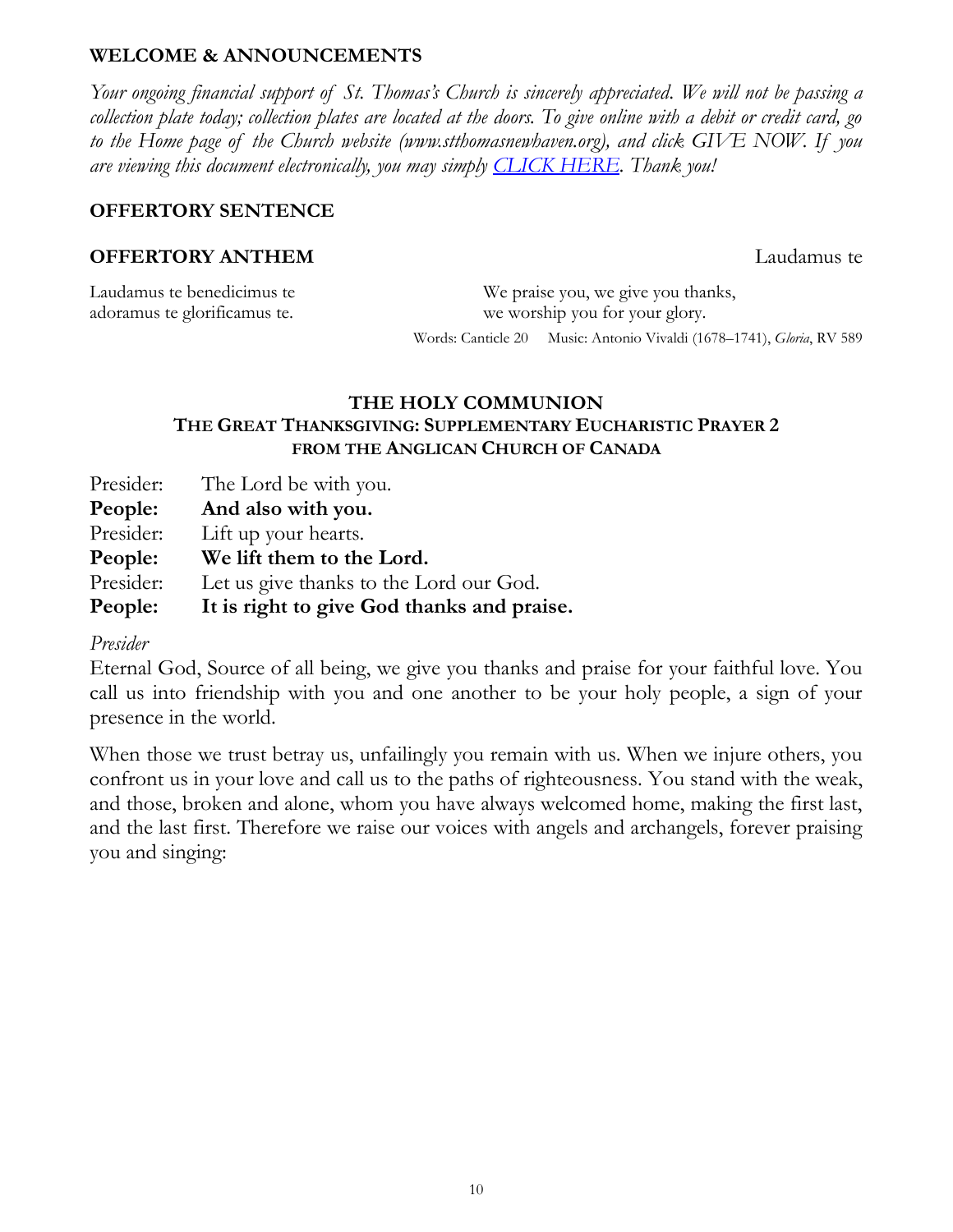# **WELCOME & ANNOUNCEMENTS**

*Your ongoing financial support of St. Thomas's Church is sincerely appreciated. We will not be passing a collection plate today; collection plates are located at the doors. To give online with a debit or credit card, go to the Home page of the Church website (www.stthomasnewhaven.org), and click GIVE NOW. If you are viewing this document electronically, you may simply [CLICK HERE.](https://www.eservicepayments.com/cgi-bin/Vanco_ver3.vps?appver3=Fi1giPL8kwX_Oe1AO50jRjlaa8kk38nFSc7qZC8ojCks4NSQukCYDzKLUtTTUlsf2EvVVAEjqawDomKT1pboueWRKPI6Vr5O0LVBV63LB8s=&ver=3) Thank you!*

# **OFFERTORY SENTENCE**

# **OFFERTORY ANTHEM** Laudamus te

| Laudamus te benedicimus te   |                                | We praise you, we give you thanks,                                    |
|------------------------------|--------------------------------|-----------------------------------------------------------------------|
| adoramus te glorificamus te. | we worship you for your glory. |                                                                       |
|                              |                                | Words: Canticle 20 Music: Antonio Vivaldi (1678–1741), Gloria, RV 589 |

# **THE HOLY COMMUNION THE GREAT THANKSGIVING: SUPPLEMENTARY EUCHARISTIC PRAYER 2 FROM THE ANGLICAN CHURCH OF CANADA**

| Presider: | The Lord be with you.                      |
|-----------|--------------------------------------------|
| People:   | And also with you.                         |
| Presider: | Lift up your hearts.                       |
| People:   | We lift them to the Lord.                  |
| Presider: | Let us give thanks to the Lord our God.    |
| People:   | It is right to give God thanks and praise. |

## *Presider*

Eternal God, Source of all being, we give you thanks and praise for your faithful love. You call us into friendship with you and one another to be your holy people, a sign of your presence in the world.

When those we trust betray us, unfailingly you remain with us. When we injure others, you confront us in your love and call us to the paths of righteousness. You stand with the weak, and those, broken and alone, whom you have always welcomed home, making the first last, and the last first. Therefore we raise our voices with angels and archangels, forever praising you and singing: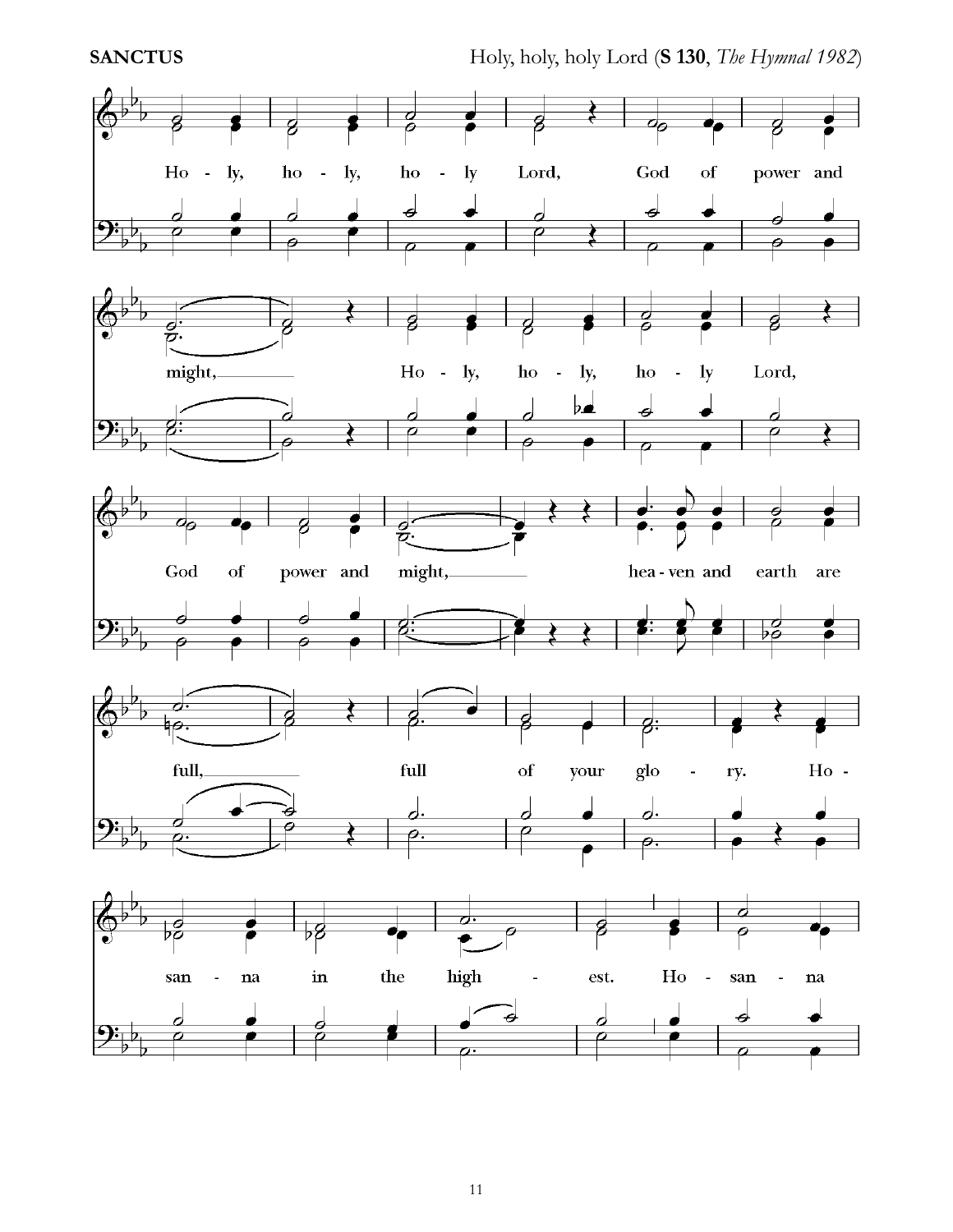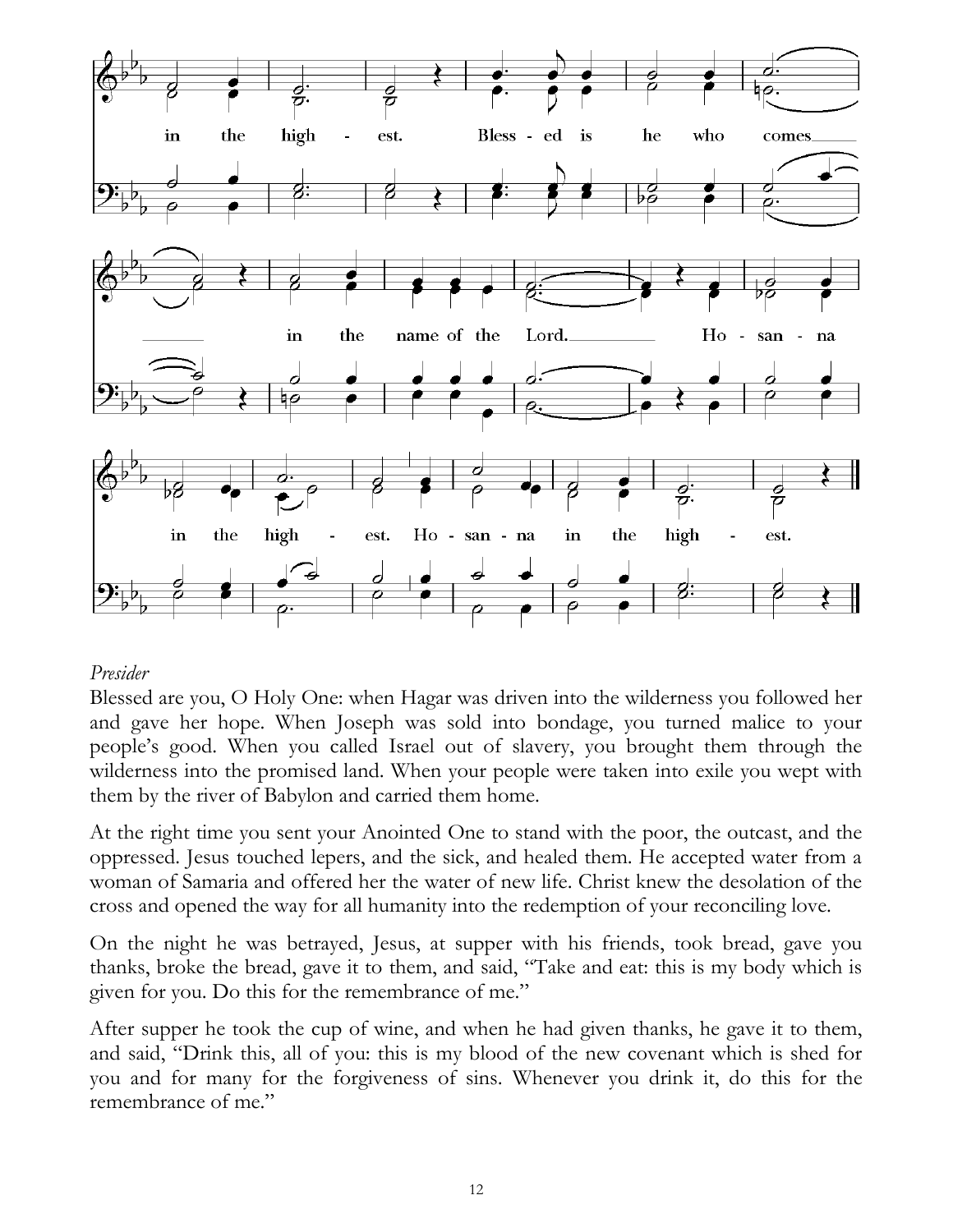

# *Presider*

Blessed are you, O Holy One: when Hagar was driven into the wilderness you followed her and gave her hope. When Joseph was sold into bondage, you turned malice to your people's good. When you called Israel out of slavery, you brought them through the wilderness into the promised land. When your people were taken into exile you wept with them by the river of Babylon and carried them home.

At the right time you sent your Anointed One to stand with the poor, the outcast, and the oppressed. Jesus touched lepers, and the sick, and healed them. He accepted water from a woman of Samaria and offered her the water of new life. Christ knew the desolation of the cross and opened the way for all humanity into the redemption of your reconciling love.

On the night he was betrayed, Jesus, at supper with his friends, took bread, gave you thanks, broke the bread, gave it to them, and said, "Take and eat: this is my body which is given for you. Do this for the remembrance of me."

After supper he took the cup of wine, and when he had given thanks, he gave it to them, and said, "Drink this, all of you: this is my blood of the new covenant which is shed for you and for many for the forgiveness of sins. Whenever you drink it, do this for the remembrance of me."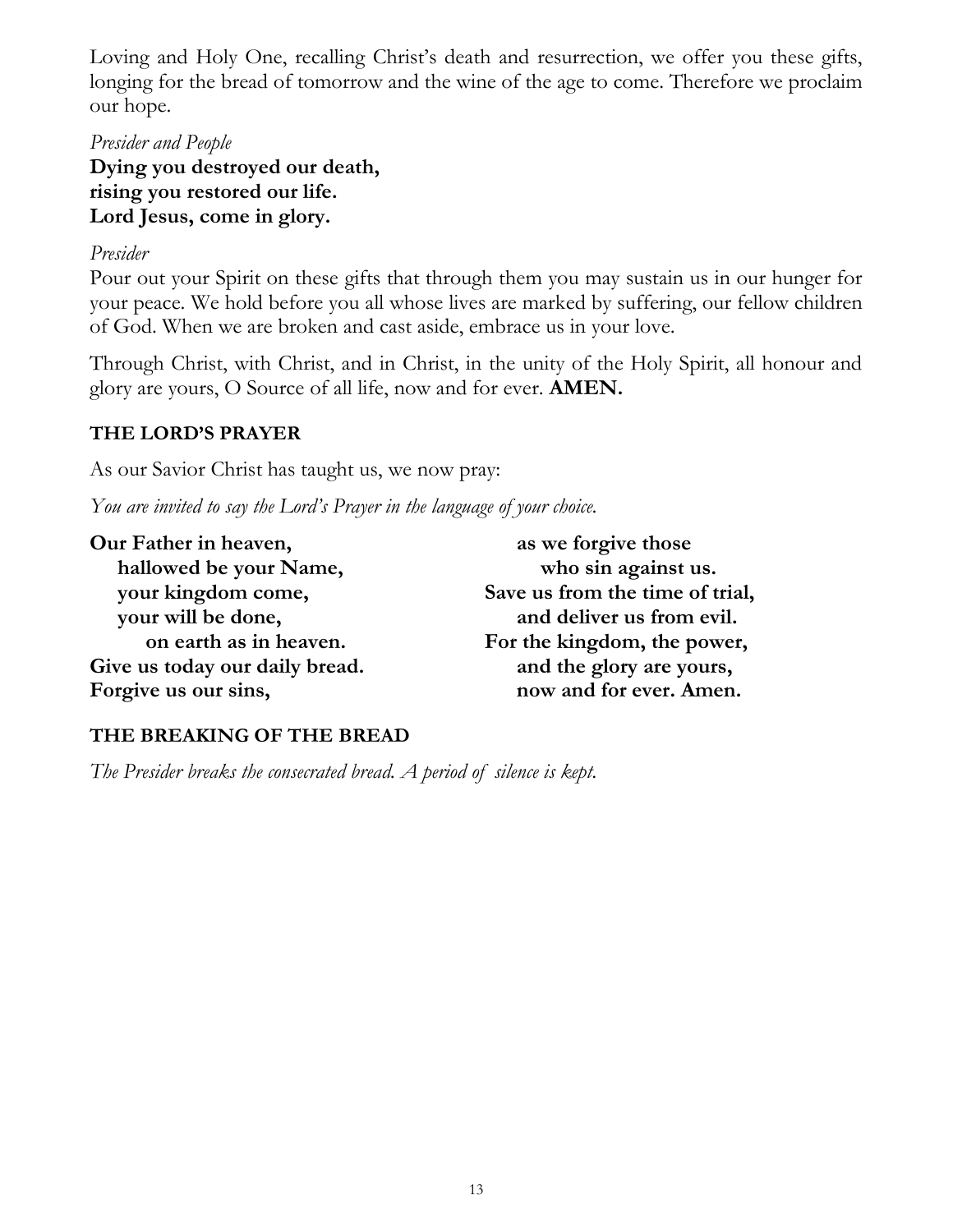Loving and Holy One, recalling Christ's death and resurrection, we offer you these gifts, longing for the bread of tomorrow and the wine of the age to come. Therefore we proclaim our hope.

*Presider and People* **Dying you destroyed our death, rising you restored our life. Lord Jesus, come in glory.**

# *Presider*

Pour out your Spirit on these gifts that through them you may sustain us in our hunger for your peace. We hold before you all whose lives are marked by suffering, our fellow children of God. When we are broken and cast aside, embrace us in your love.

Through Christ, with Christ, and in Christ, in the unity of the Holy Spirit, all honour and glory are yours, O Source of all life, now and for ever. **AMEN.**

# **THE LORD'S PRAYER**

As our Savior Christ has taught us, we now pray:

*You are invited to say the Lord's Prayer in the language of your choice.*

| Our Father in heaven,          | as we forgive those             |  |
|--------------------------------|---------------------------------|--|
| hallowed be your Name,         | who sin against us.             |  |
| your kingdom come,             | Save us from the time of trial, |  |
| your will be done,             | and deliver us from evil.       |  |
| on earth as in heaven.         | For the kingdom, the power,     |  |
| Give us today our daily bread. | and the glory are yours,        |  |
| Forgive us our sins,           | now and for ever. Amen.         |  |
|                                |                                 |  |

# **THE BREAKING OF THE BREAD**

*The Presider breaks the consecrated bread. A period of silence is kept.*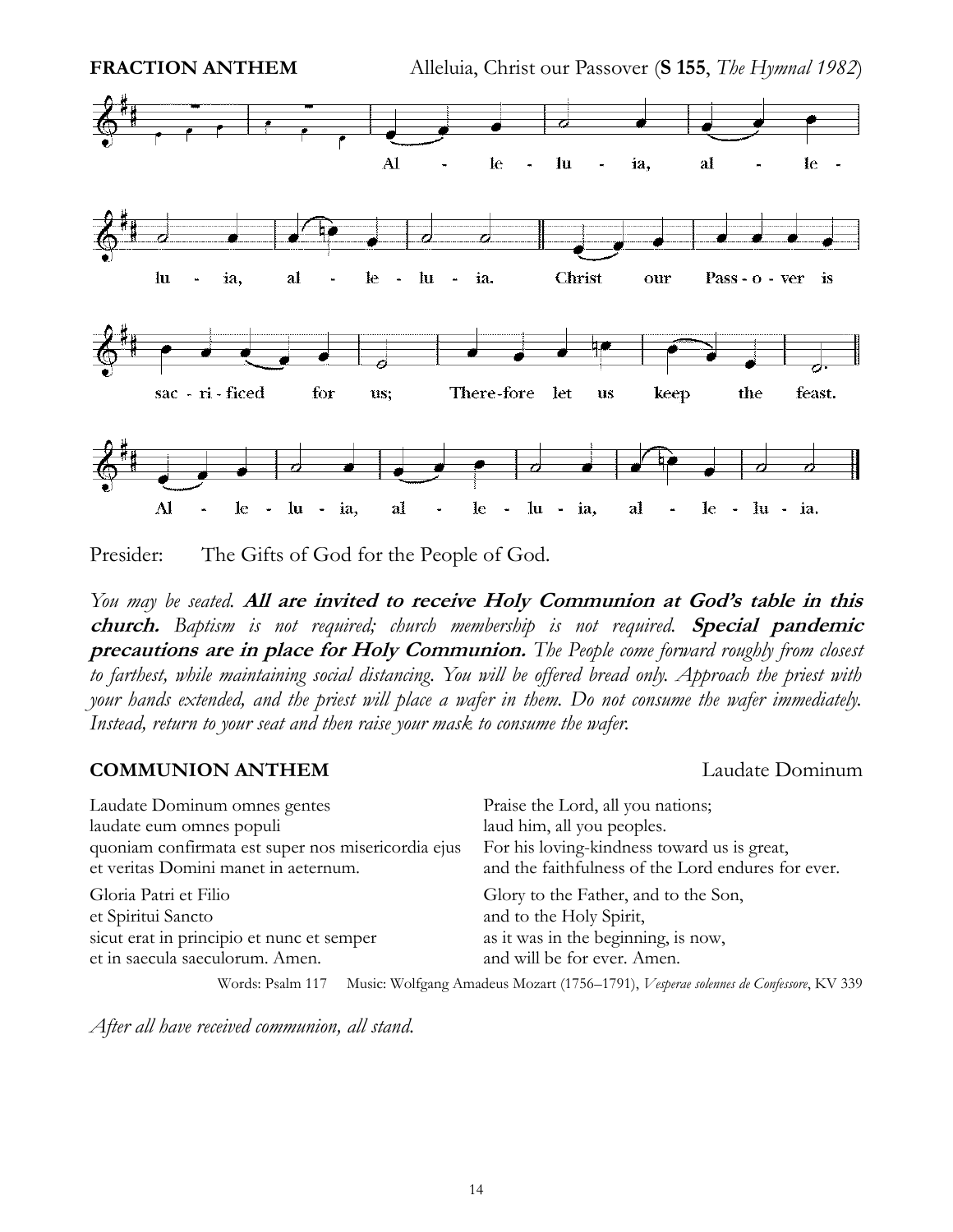

Presider: The Gifts of God for the People of God.

*You may be seated.* **All are invited to receive Holy Communion at God's table in this church.** *Baptism is not required; church membership is not required.* **Special pandemic precautions are in place for Holy Communion.** *The People come forward roughly from closest to farthest, while maintaining social distancing. You will be offered bread only. Approach the priest with your hands extended, and the priest will place a wafer in them. Do not consume the wafer immediately. Instead, return to your seat and then raise your mask to consume the wafer.* 

## **COMMUNION ANTHEM** Laudate Dominum

| Laudate Dominum omnes gentes                       | Praise the Lord, all you nations;                  |  |
|----------------------------------------------------|----------------------------------------------------|--|
| laudate eum omnes populi                           | laud him, all you peoples.                         |  |
| quoniam confirmata est super nos misericordia ejus | For his loving-kindness toward us is great,        |  |
| et veritas Domini manet in aeternum.               | and the faithfulness of the Lord endures for ever. |  |
| Gloria Patri et Filio                              | Glory to the Father, and to the Son,               |  |
| et Spiritui Sancto                                 | and to the Holy Spirit,                            |  |
| sicut erat in principio et nunc et semper          | as it was in the beginning, is now,                |  |
| et in saecula saeculorum. Amen.                    | and will be for ever. Amen.                        |  |
|                                                    |                                                    |  |

Words: Psalm 117 Music: Wolfgang Amadeus Mozart (1756–1791), *Vesperae solennes de Confessore*, KV 339

*After all have received communion, all stand.*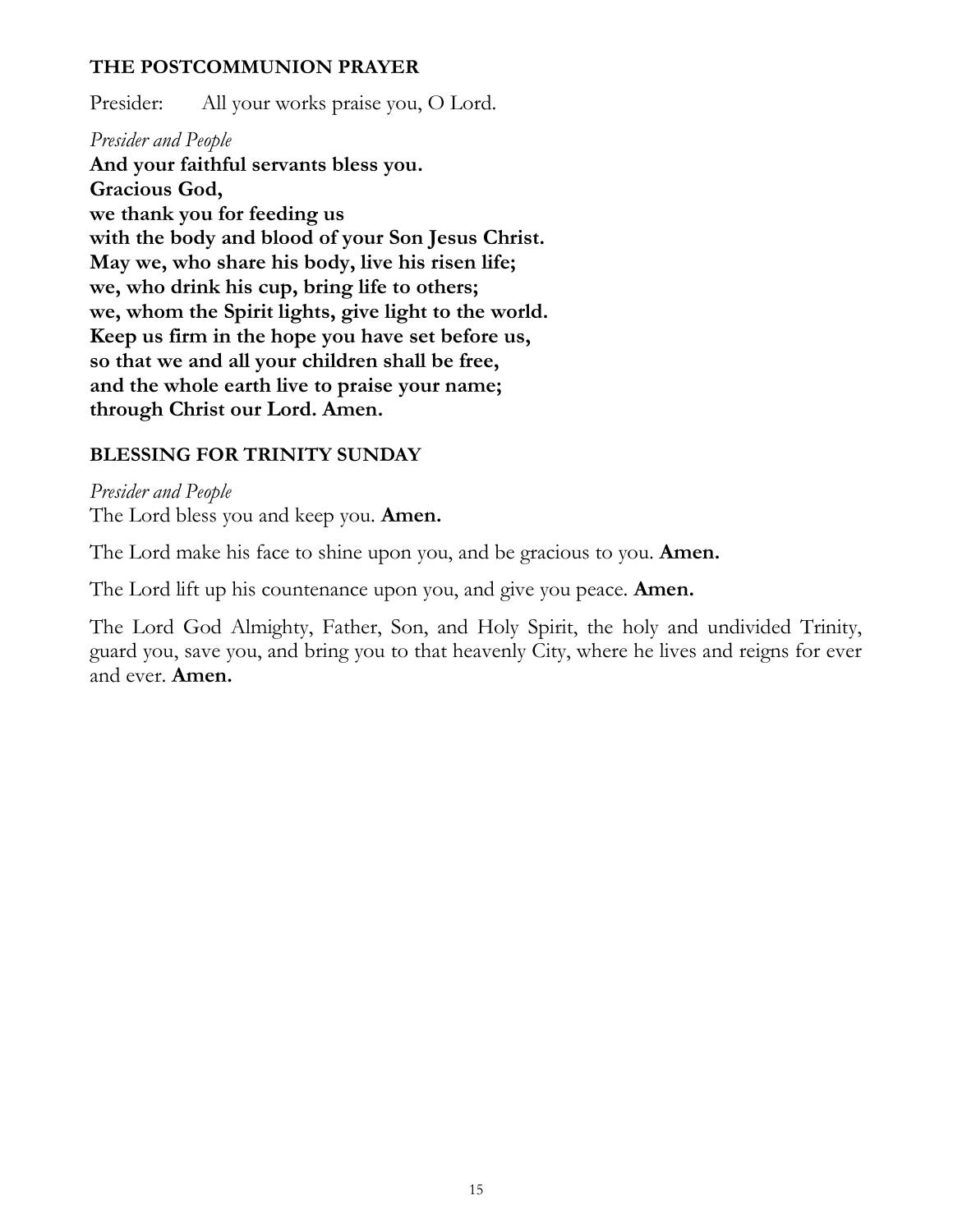# **THE POSTCOMMUNION PRAYER**

Presider: All your works praise you, O Lord.

# *Presider and People*

**And your faithful servants bless you. Gracious God, we thank you for feeding us with the body and blood of your Son Jesus Christ. May we, who share his body, live his risen life; we, who drink his cup, bring life to others; we, whom the Spirit lights, give light to the world. Keep us firm in the hope you have set before us, so that we and all your children shall be free, and the whole earth live to praise your name; through Christ our Lord. Amen.**

# **BLESSING FOR TRINITY SUNDAY**

*Presider and People* The Lord bless you and keep you. **Amen.**

The Lord make his face to shine upon you, and be gracious to you. **Amen.**

The Lord lift up his countenance upon you, and give you peace. **Amen.**

The Lord God Almighty, Father, Son, and Holy Spirit, the holy and undivided Trinity, guard you, save you, and bring you to that heavenly City, where he lives and reigns for ever and ever. **Amen.**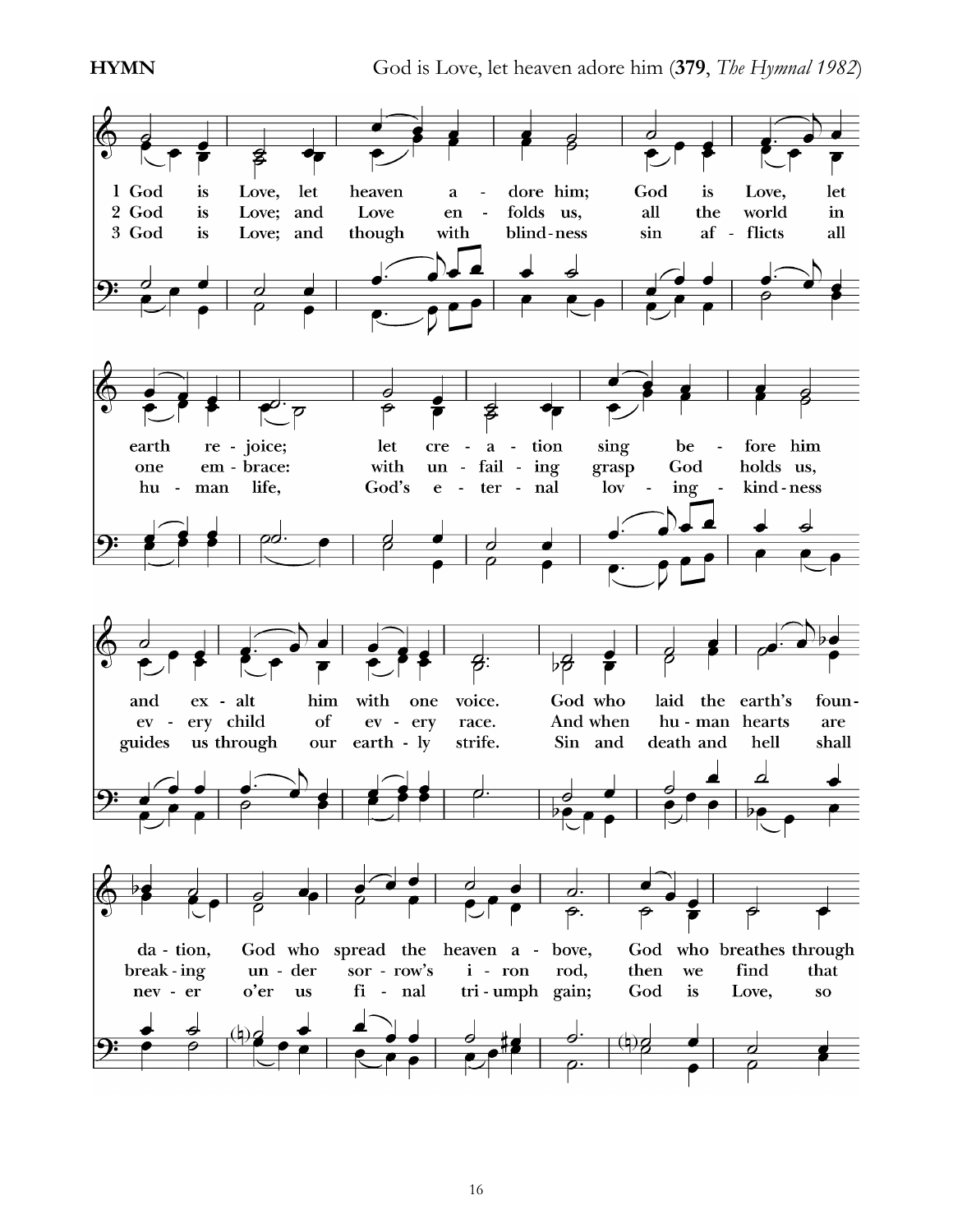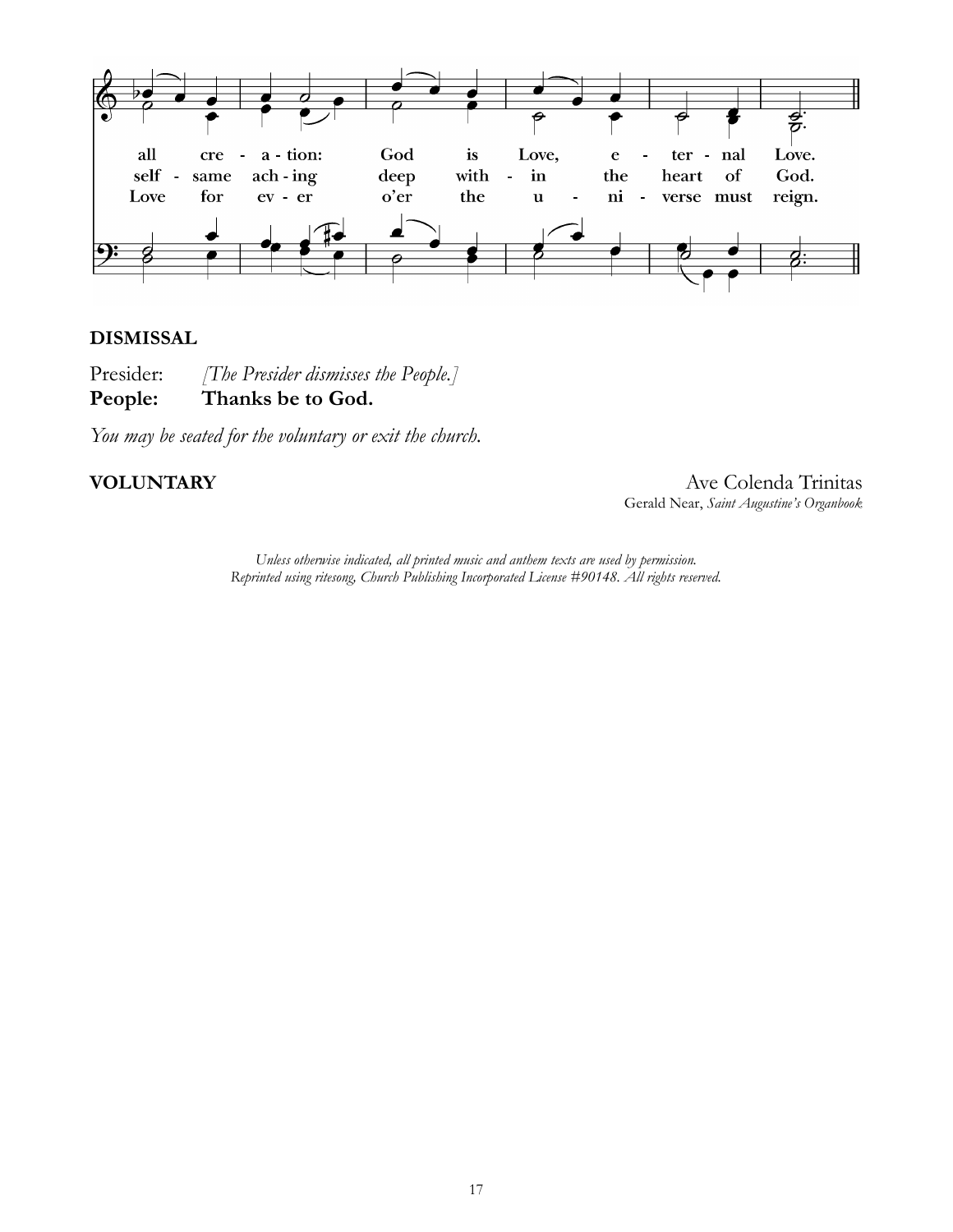

## **DISMISSAL**

Presider: *[The Presider dismisses the People.]* **People: Thanks be to God.**

*You may be seated for the voluntary or exit the church.*

**VOLUNTARY** Ave Colenda Trinitas Gerald Near, *Saint Augustine's Organbook*

> *Unless otherwise indicated, all printed music and anthem texts are used by permission. Reprinted using ritesong, Church Publishing Incorporated License #90148. All rights reserved.*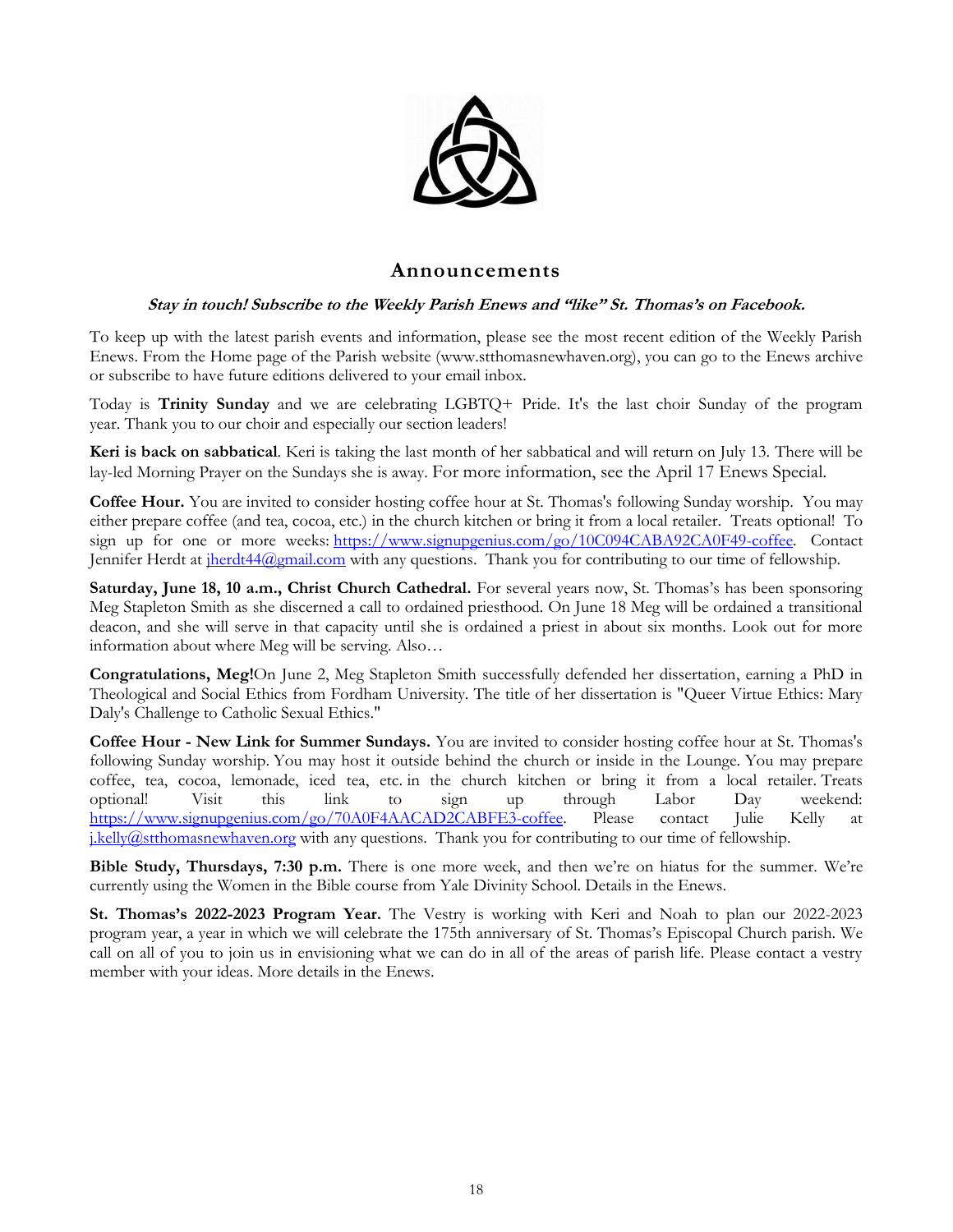

## **Announcements**

### **Stay in touch! Subscribe to the Weekly Parish Enews and "like" St. Thomas's on Facebook.**

To keep up with the latest parish events and information, please see the most recent edition of the Weekly Parish Enews. From the Home page of the Parish website [\(www.stthomasnewhaven.org\)](http://www.stthomasnewhaven.org/), you can go to the Enews archive or subscribe to have future editions delivered to your email inbox.

Today is **Trinity Sunday** and we are celebrating LGBTQ+ Pride. It's the last choir Sunday of the program year. Thank you to our choir and especially our section leaders!

**Keri is back on sabbatical**. Keri is taking the last month of her sabbatical and will return on July 13. There will be lay-led Morning Prayer on the Sundays she is away. For more information, see the April 17 Enews Special.

**Coffee Hour.** You are invited to consider hosting coffee hour at St. Thomas's following Sunday worship. You may either prepare coffee (and tea, cocoa, etc.) in the church kitchen or bring it from a local retailer. Treats optional! To sign up for one or more weeks: [https://www.signupgenius.com/go/10C094CABA92CA0F49-coffee.](https://nam12.safelinks.protection.outlook.com/?url=https%3A%2F%2Fwww.signupgenius.com%2Fgo%2F10C094CABA92CA0F49-coffee&data=04%7C01%7Cjennifer.herdt%40yale.edu%7C6382f1cd26f34d72783e08da02105fb6%7Cdd8cbebb21394df8b4114e3e87abeb5c%7C0%7C0%7C637824566592953682%7CUnknown%7CTWFpbGZsb3d8eyJWIjoiMC4wLjAwMDAiLCJQIjoiV2luMzIiLCJBTiI6Ik1haWwiLCJXVCI6Mn0%3D%7C3000&sdata=lfhrIOxFIh%2FI5Si1ELDUOvGChJnYI1YcMFsN1jA6cok%3D&reserved=0) Contact Jennifer Herdt at iherdt44@gmail.com with any questions. Thank you for contributing to our time of fellowship.

Saturday, June 18, 10 a.m., Christ Church Cathedral. For several years now, St. Thomas's has been sponsoring Meg Stapleton Smith as she discerned a call to ordained priesthood. On June 18 Meg will be ordained a transitional deacon, and she will serve in that capacity until she is ordained a priest in about six months. Look out for more information about where Meg will be serving. Also…

**Congratulations, Meg!**On June 2, Meg Stapleton Smith successfully defended her dissertation, earning a PhD in Theological and Social Ethics from Fordham University. The title of her dissertation is "Queer Virtue Ethics: Mary Daly's Challenge to Catholic Sexual Ethics."

**Coffee Hour - New Link for Summer Sundays.** You are invited to consider hosting coffee hour at St. Thomas's following Sunday worship. You may host it outside behind the church or inside in the Lounge. You may prepare coffee, tea, cocoa, lemonade, iced tea, etc. in the church kitchen or bring it from a local retailer. Treats optional! Visit this link to sign up through Labor Day weekend: [https://www.signupgenius.com/go/70A0F4AACAD2CABFE3-coffee.](https://www.signupgenius.com/go/70A0F4AACAD2CABFE3-coffee) Please contact Julie Kelly at [j.kelly@stthomasnewhaven.org](mailto:j.kelly@stthomasnewhaven.org) with any questions. Thank you for contributing to our time of fellowship.

**Bible Study, Thursdays, 7:30 p.m.** There is one more week, and then we're on hiatus for the summer. We're currently using the Women in the Bible course from Yale Divinity School. Details in the Enews.

**St. Thomas's 2022-2023 Program Year.** The Vestry is working with Keri and Noah to plan our 2022-2023 program year, a year in which we will celebrate the 175th anniversary of St. Thomas's Episcopal Church parish. We call on all of you to join us in envisioning what we can do in all of the areas of parish life. Please contact a vestry member with your ideas. More details in the Enews.